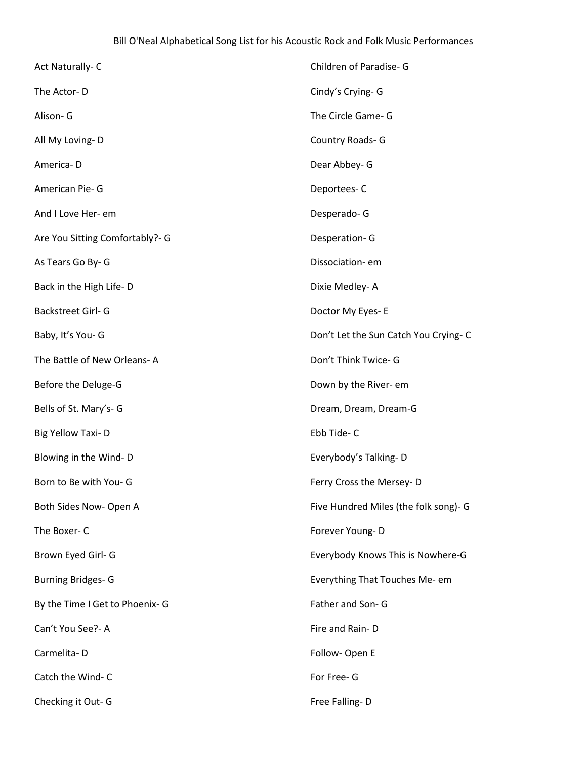| Act Naturally-C                 | Children of Paradise- G               |
|---------------------------------|---------------------------------------|
| The Actor-D                     | Cindy's Crying-G                      |
| Alison- G                       | The Circle Game- G                    |
| All My Loving-D                 | Country Roads- G                      |
| America-D                       | Dear Abbey- G                         |
| American Pie- G                 | Deportees-C                           |
| And I Love Her- em              | Desperado-G                           |
| Are You Sitting Comfortably?- G | Desperation-G                         |
| As Tears Go By-G                | Dissociation-em                       |
| Back in the High Life-D         | Dixie Medley-A                        |
| Backstreet Girl- G              | Doctor My Eyes- E                     |
| Baby, It's You- G               | Don't Let the Sun Catch You Crying- C |
| The Battle of New Orleans-A     | Don't Think Twice- G                  |
| Before the Deluge-G             | Down by the River- em                 |
| Bells of St. Mary's- G          | Dream, Dream, Dream-G                 |
| Big Yellow Taxi-D               | Ebb Tide-C                            |
| Blowing in the Wind-D           | Everybody's Talking-D                 |
| Born to Be with You- G          | Ferry Cross the Mersey-D              |
| Both Sides Now- Open A          | Five Hundred Miles (the folk song)- G |
| The Boxer-C                     | Forever Young-D                       |
| Brown Eyed Girl- G              | Everybody Knows This is Nowhere-G     |
| <b>Burning Bridges-G</b>        | Everything That Touches Me- em        |
| By the Time I Get to Phoenix- G | Father and Son- G                     |
| Can't You See?- A               | Fire and Rain-D                       |
| Carmelita-D                     | Follow- Open E                        |
| Catch the Wind-C                | For Free- G                           |
| Checking it Out-G               | Free Falling-D                        |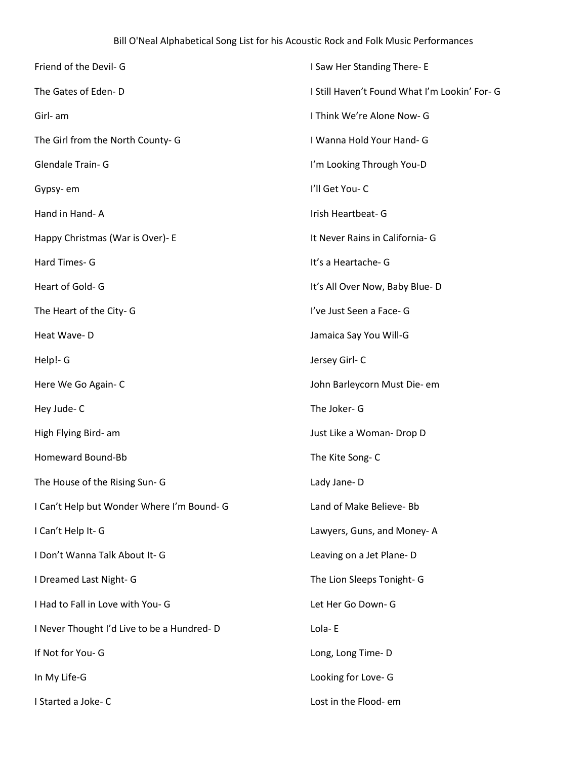| Friend of the Devil- G                     | I Saw Her Standing There-E                    |
|--------------------------------------------|-----------------------------------------------|
| The Gates of Eden-D                        | I Still Haven't Found What I'm Lookin' For- G |
| Girl- am                                   | I Think We're Alone Now- G                    |
| The Girl from the North County- G          | I Wanna Hold Your Hand- G                     |
| Glendale Train- G                          | I'm Looking Through You-D                     |
| Gypsy-em                                   | I'll Get You-C                                |
| Hand in Hand-A                             | Irish Heartbeat- G                            |
| Happy Christmas (War is Over)- E           | It Never Rains in California- G               |
| Hard Times- G                              | It's a Heartache-G                            |
| Heart of Gold-G                            | It's All Over Now, Baby Blue-D                |
| The Heart of the City-G                    | I've Just Seen a Face- G                      |
| Heat Wave-D                                | Jamaica Say You Will-G                        |
| Help!- G                                   | Jersey Girl-C                                 |
| Here We Go Again-C                         | John Barleycorn Must Die- em                  |
| Hey Jude-C                                 | The Joker- G                                  |
| High Flying Bird- am                       | Just Like a Woman- Drop D                     |
| Homeward Bound-Bb                          | The Kite Song-C                               |
| The House of the Rising Sun- G             | Lady Jane-D                                   |
| I Can't Help but Wonder Where I'm Bound- G | Land of Make Believe- Bb                      |
| I Can't Help It-G                          | Lawyers, Guns, and Money-A                    |
| I Don't Wanna Talk About It- G             | Leaving on a Jet Plane-D                      |
| I Dreamed Last Night- G                    | The Lion Sleeps Tonight- G                    |
| I Had to Fall in Love with You- G          | Let Her Go Down- G                            |
| I Never Thought I'd Live to be a Hundred-D | Lola-E                                        |
| If Not for You- G                          | Long, Long Time-D                             |
| In My Life-G                               | Looking for Love- G                           |
| I Started a Joke-C                         | Lost in the Flood- em                         |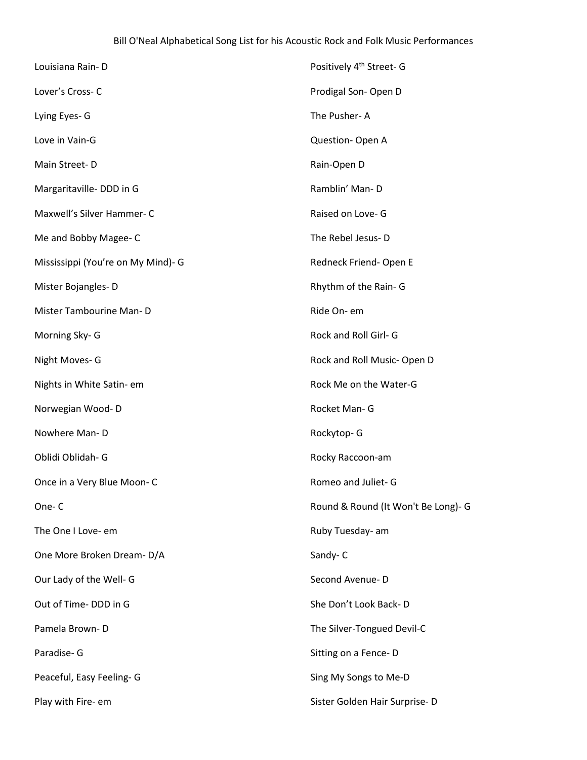| Louisiana Rain-D                   | Positively 4 <sup>th</sup> Street- G |
|------------------------------------|--------------------------------------|
| Lover's Cross-C                    | Prodigal Son-Open D                  |
| Lying Eyes- G                      | The Pusher-A                         |
| Love in Vain-G                     | Question-Open A                      |
| Main Street-D                      | Rain-Open D                          |
| Margaritaville-DDD in G            | Ramblin' Man-D                       |
| Maxwell's Silver Hammer-C          | Raised on Love- G                    |
| Me and Bobby Magee-C               | The Rebel Jesus-D                    |
| Mississippi (You're on My Mind)- G | Redneck Friend-Open E                |
| Mister Bojangles-D                 | Rhythm of the Rain- G                |
| Mister Tambourine Man-D            | Ride On- em                          |
| Morning Sky- G                     | Rock and Roll Girl- G                |
| Night Moves- G                     | Rock and Roll Music-Open D           |
| Nights in White Satin- em          | Rock Me on the Water-G               |
| Norwegian Wood-D                   | Rocket Man- G                        |
| Nowhere Man-D                      | Rockytop-G                           |
| Oblidi Oblidah- G                  | Rocky Raccoon-am                     |
| Once in a Very Blue Moon-C         | Romeo and Juliet- G                  |
| One-C                              | Round & Round (It Won't Be Long)- G  |
| The One I Love- em                 | Ruby Tuesday- am                     |
| One More Broken Dream-D/A          | Sandy-C                              |
| Our Lady of the Well- G            | Second Avenue-D                      |
| Out of Time-DDD in G               | She Don't Look Back-D                |
| Pamela Brown-D                     | The Silver-Tongued Devil-C           |
| Paradise- G                        | Sitting on a Fence-D                 |
| Peaceful, Easy Feeling- G          | Sing My Songs to Me-D                |
| Play with Fire- em                 | Sister Golden Hair Surprise-D        |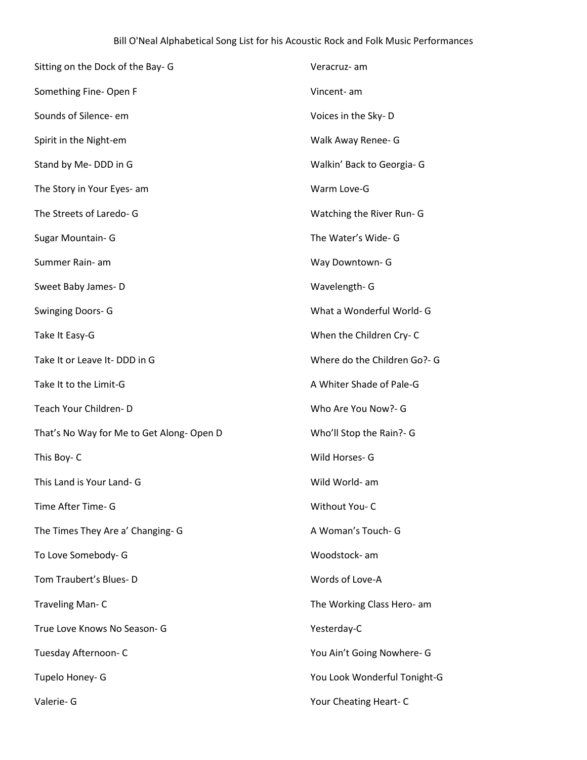| Sitting on the Dock of the Bay-G         | Veracruz- am                 |
|------------------------------------------|------------------------------|
| Something Fine- Open F                   | Vincent- am                  |
| Sounds of Silence- em                    | Voices in the Sky-D          |
| Spirit in the Night-em                   | Walk Away Renee- G           |
| Stand by Me- DDD in G                    | Walkin' Back to Georgia- G   |
| The Story in Your Eyes- am               | Warm Love-G                  |
| The Streets of Laredo- G                 | Watching the River Run- G    |
| Sugar Mountain- G                        | The Water's Wide- G          |
| Summer Rain- am                          | Way Downtown- G              |
| Sweet Baby James-D                       | Wavelength- G                |
| <b>Swinging Doors-G</b>                  | What a Wonderful World- G    |
| Take It Easy-G                           | When the Children Cry-C      |
| Take It or Leave It-DDD in G             | Where do the Children Go?- G |
| Take It to the Limit-G                   | A Whiter Shade of Pale-G     |
| Teach Your Children-D                    | Who Are You Now?- G          |
| That's No Way for Me to Get Along-Open D | Who'll Stop the Rain?- G     |
| This Boy-C                               | Wild Horses- G               |
| This Land is Your Land- G                | Wild World- am               |
| Time After Time- G                       | Without You-C                |
| The Times They Are a' Changing- G        | A Woman's Touch- G           |
| To Love Somebody- G                      | Woodstock- am                |
| Tom Traubert's Blues-D                   | Words of Love-A              |
| Traveling Man-C                          | The Working Class Hero- am   |
| True Love Knows No Season- G             | Yesterday-C                  |
| Tuesday Afternoon- C                     | You Ain't Going Nowhere- G   |
| Tupelo Honey- G                          | You Look Wonderful Tonight-G |
| Valerie- G                               | Your Cheating Heart-C        |